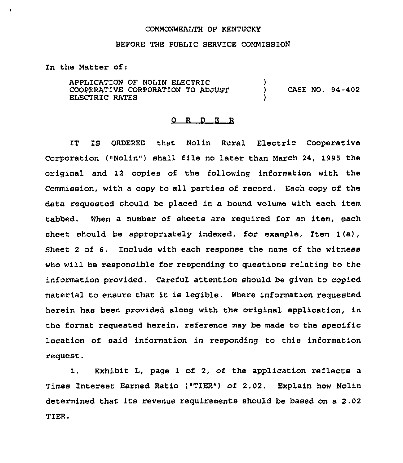## COMMONWEALTH OF KENTUCKY

## BEFORE THE PUBLIC SERVICE COMMISSION

In the Matter of:

 $\bullet$ 

APPLICATION OF NOLIN ELECTRIC COOPERATIVE CORPORATION TO ADJUST ELECTRIC RATES ) ) CASE NO. 94-402 )

## O R D E R

IT IS ORDERED that Nolin Rural Electric Cooperative Corporation ("Nolin") shall file no later than March 24, 1999 the original and 12 copies of the following information with the Commission, with a copy to all parties of record, Each copy of the data requested should be placed in a bound volume with each item tabbed. When a number of sheets are required for an item, each sheet should be appropriately indexed, for example, Item I (a), Sheet <sup>2</sup> of 6. Include with each response the name of the witness who will be responsible for responding to questions relating to the information provided. Careful attention should be given to copied material to ensure that it is legible. Where information requested herein has been provided along with the original application, in the format requested herein, reference may be made to the specific location of said information in responding to this information request.

1. Exhibit L, page <sup>1</sup> of 2, of the application reflects a Times Interest Earned Ratio ("TIER"} of 2,02. Explain how Nolin determined that its revenue requirements should be based on a 2.02 TIER.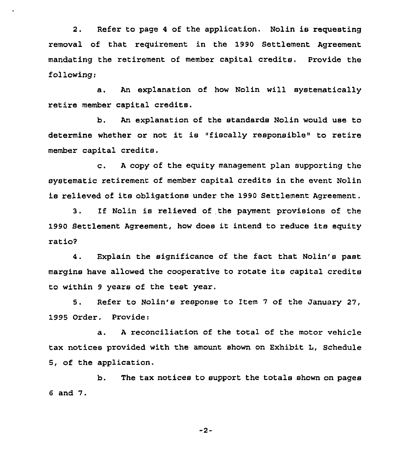2. Refer to page <sup>4</sup> of the application. Nolin is requesting removal of that requirement in the 1990 Settlement Agreement mandating the retirement of member capital credits. Provide the following:

a. An explanation of how Nolin will systematically retire member capital credits.

b. An explanation of the standards Nolin would use to determine whether or not it is "fiscally responsible" to retire member capital credits.

c. <sup>A</sup> copy of the equity management plan supporting the systematic retirement of member capital credits in the event Nolin is relieved of its obligations under the 1990 Settlement Agreement.

3. If Nolin is relieved of the payment provisions of the 1990 Settlement Agreement, how does it intend to reduce its equity ratio7

4. Explain the significance of the fact that Nolin's past margins have allowed the cooperative to rotate its capital credits to within <sup>9</sup> years of the test year,

5. Refer to Nolin's response to Item 7 of the January 27, 1995 Order. Provide:

a. <sup>A</sup> reconciliation of the total of the motor vehicle tax notices provided with the amount shown on Exhibit L, Schedule 5, of the application.

b. The tax notices to support the totals shown on pages <sup>6</sup> and 7.

-2-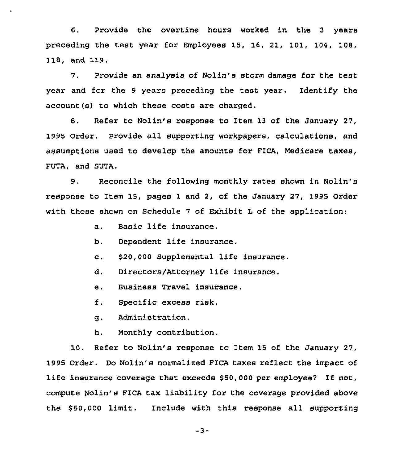6. Provide the overtime hours worked in the <sup>3</sup> years preceding the test year for Employees 15, 16, 21, 101, 104, 108, 118, and 119.

7. Provide an analysis of Nolin's storm damage for the test year and for the 9 years preceding the test year. Identify the account(s) to which these costs are charged.

8, Refer to Nolin's response to Item 13 of the January 27, 1995 Order. Provide all supporting workpapers, calculations, and assumptions used to develop the amounts for FICA, Medicare taxes, FUTA, and SUTA.

9. Reconcile the following monthly rates shown in Nolin's response to Item 15, pages 1 and 2, of the January 27, 1995 Order with those shown on Schedule 7 of Exhibit <sup>L</sup> of the application:

- a. Basic life insurance.
- b. Dependent life insurance.
- c. \$20,000 Supplemental life insurance.
- d. Directors/Attorney life insurance.
- e. Business Travel insurance.
- f. Specific excess risk.
- g. Administration.
- h. Monthly contribution.

10. Refer to Nolin's response to Item 15 of the January 27, 1995 Order. Do Nolin's normalized FICA taxes reflect the impact of life insurance coverage that exceeds \$50,000 per employee2 If not, compute Nolin's FICA tax liability for the coverage provided above the \$50,000 limit. Include with this response all supporting

-3-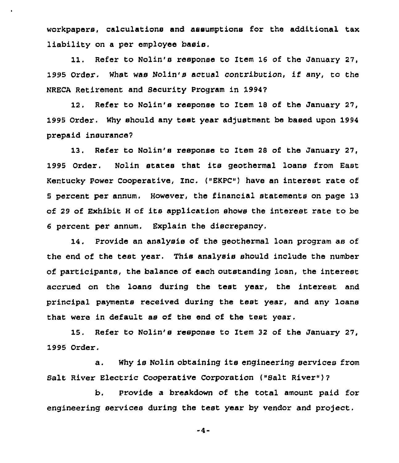workpapers, calculations and assumptions for the additional tax liability on a per employee basis,

11. Refer to Nolin's response to Item 16 of the January 27, 1995 Order. What was Nolin's actual contribution, if any, to the NRECA Retirement and Security Program in 19947

12. Refer to Nolin's response to Item 18 of the January 27, 1995 Order. Why should any test year adjustment be based upon 1994 prepaid insurance7

13. Refer to Nolin's response to Item <sup>28</sup> of the January 27, 1995 Order. Nolin states that its geothermal loans from East Kentucky Power Cooperative, Inc. <"EKPC") have an interest rate of 5 percent per annum. However, the financial statements on page 13 of <sup>29</sup> of Exhibit <sup>H</sup> of its application shows the interest rate to be 6 percent per annum. Explain the discrepancy.

14. Provide an analysis of the geothermal loan program as of the end of the test year, This analysis should include the number of participants, the balance of each outstanding loan, the interest accrued on the loans during the teat year, the interest and principal payments received during the test year, and any loans that were in default as of the end of the test year,

15. Refer to Nolin's response to Item 32 of the January 27, 1995 Order.

a. Why is Nolin obtaining its engineering services from Salt River Electric Cooperative Corporation ("Salt River" )?

b. Provide a breakdown of the total amount paid for engineering services during the test year by vendor and project.

-4-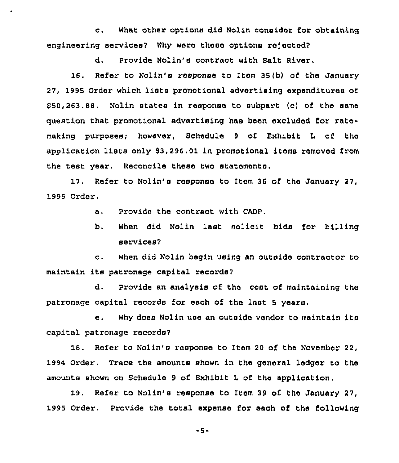c, What other options did Nolin consider for obtaining engineering services? Why were these options rejected?

d. Provide Nolin's contract with Salt River.

16. Refer to Nolin's response to Item 35(b) of tho January 27, 1995 Order which lists promotional advertising expenditures of \$ 50,263.88. Nolin states in response to subpart (c) of the same question that promotional advertising has boon excluded for ratamaking purposes; however, Schedule 9 of Exhibit L of the application lists only \$3,296.01 in promotional items removad from the test year. Reconcile these two statements.

17, Refer to Nolin's response to Item 36 of the January 27, 1995 Order.

a. Provide the contract with CADP.

b. When did Nolin last solicit bids for billing services?

c. When did Nolin begin using an outside contractor to maintain its patronage capital records?

d. Provide an analysis of tho cost of maintaining the patronage capital records for each of the last 5 years.

e, Why does Nolin use an outside vendor to maintain its capital patronage records?

18, Refer to Nolin's response to Item 20 of the November 22, 1994 Order, Trace the amounts shown in the general ledger to the amounts shown on Schedule 9 of Exhibit L of the application,

19. Refer to Nolin's response to Item 39 of the January 27, 1995 Order. Provide the total expense for each of the following

-5-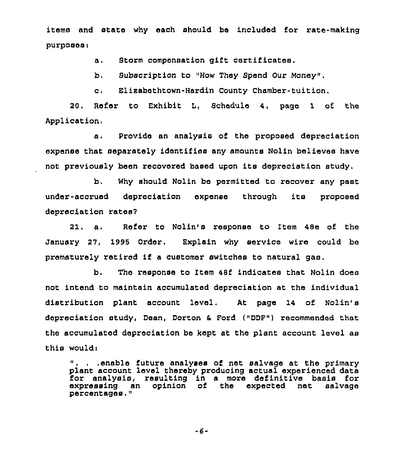items and state why each should be included for rate-making purposeai

a. Storm compensation gift certificates.

b. Subscription to "How They Spend Our Money".

c. Eliaabethtown-Hardin County Chamber-tuition.

20. Refer to Exhibit L, Schedule 4, page 1 of the Application.

a. provide an analysis of the proposed depreciation expense that separately identifies any amounts Nolin believes have not previously been recovered based upon its depreciation study.

b. Why should Nolin be permitted to recover any past under-accrued depreciation expense through its proposed depreciation rates?

21. a. Refer to Nolin's response to Item 48e of the January 27, 1995 Order. Explain why service wire could be prematurely retired if <sup>a</sup> customer switches to natural gae.

b. The response to Item 48f indicates that Nolin does not intend to maintain accumulated depreciation at the individual distribution plant account level, At page 14 of Nolin's depreciation study, Dean, Dorton <sup>6</sup> Ford ("DDF") recommended that the accumulated depreciation be kept at the plant account level as this would:

would'enable future analyses of net salvage at the primar plant account level thereby producing actual experienced data<br>for analysis, resulting in a more definitive basis for<br>expressing an opinion of the expected net salvage of the expected net percentages."

-6-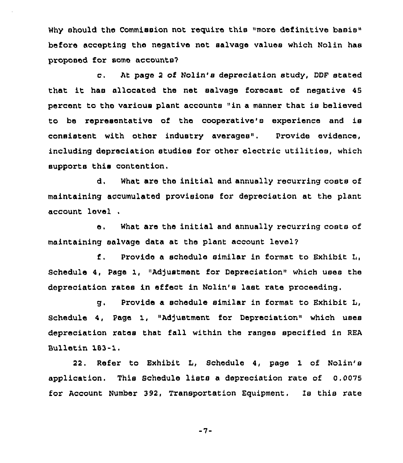Why should the Commission not require this «more definitive basis" before accepting the negative net salvage values which Nolin has proposed for some accounts7

c. At page <sup>2</sup> of Nolin's depreciation study, DDF stated that it has allocated the net salvage forecast of negative <sup>45</sup> percent to tho various plant accounts "in a manner that is believed to be representative of the cooperative's experience and is consistent with other industry averages". Provide evidence, including depreciation studies for other electric utilities, which supports this contention.

d. What are the initial and annually recurring costs of maintaining accumulated provisions for depreciation at the plant account level.

e, What are the initial and annually recurring costs of maintaining salvage data at the plant account level?

 $f$ . Provide a schedule similar in format to Exhibit L, Schedule 4, Page 1, "Ad)ustment for Depreciation" which uses the depreciation rates in effect in Nolin's last rate proceeding.

g. Provide a schedule similar in format to Exhibit L, Schedule 4, Page 1, "Ad/ustment for Depreciation" which uses depreciation rates that fall within the ranges specified in REA Bulletin 183-1.

22. Refer to Exhibit L, Schedule 4, page 1 of Nolin's application. This Schedule lists <sup>a</sup> depreciation rate of 0.0075 for Account Number 392, Transportation Equipment. Is this rate

-7-